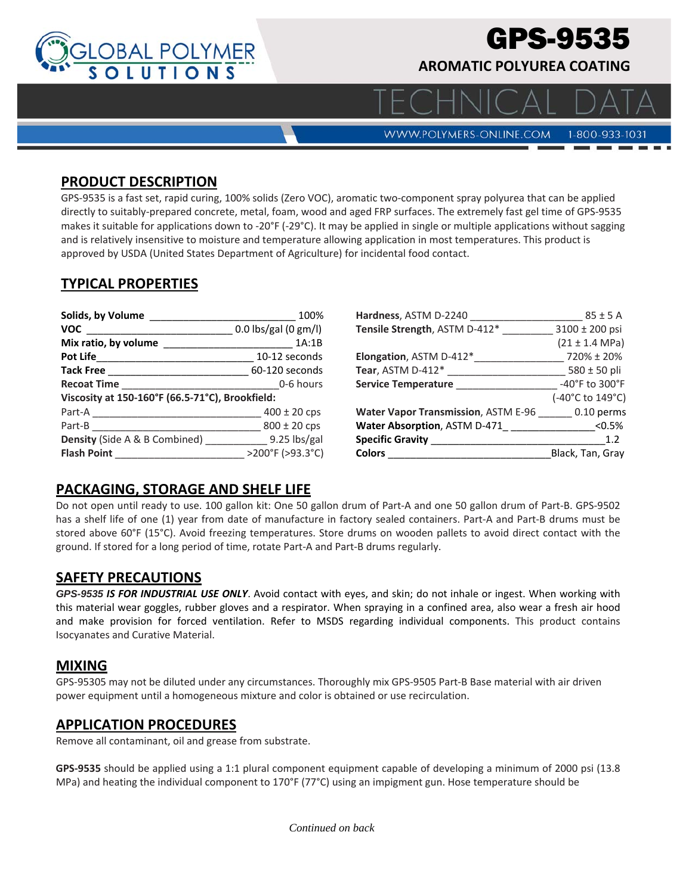

# GPS-9535

**AROMATIC POLYUREA COATING**

**WWW.POLYMERS-ONLINE.COM** 

## 1-800-933-1031

#### **PRODUCT DESCRIPTION**

GPS‐9535 is a fast set, rapid curing, 100% solids (Zero VOC), aromatic two‐component spray polyurea that can be applied directly to suitably‐prepared concrete, metal, foam, wood and aged FRP surfaces. The extremely fast gel time of GPS‐9535 makes it suitable for applications down to -20°F (-29°C). It may be applied in single or multiple applications without sagging and is relatively insensitive to moisture and temperature allowing application in most temperatures. This product is approved by USDA (United States Department of Agriculture) for incidental food contact.

# **TYPICAL PROPERTIES**

| Solids, by Volume                                                                    | 100%                 |  |
|--------------------------------------------------------------------------------------|----------------------|--|
| <b>VOC</b>                                                                           | 0.0 lbs/gal (0 gm/l) |  |
|                                                                                      | 1A:1B                |  |
| Pot Life                                                                             | 10-12 seconds        |  |
| <b>Tack Free</b>                                                                     | 60-120 seconds       |  |
| Recoat Time                                                                          | 0-6 hours            |  |
| Viscosity at 150-160°F (66.5-71°C), Brookfield:                                      |                      |  |
| Part-A<br>the control of the control of the control of the control of the control of | $400 \pm 20$ cps     |  |
| Part-B                                                                               | $800 \pm 20$ cps     |  |
| <b>Density</b> (Side A & B Combined) 9.25 lbs/gal                                    |                      |  |
| <b>Flash Point</b>                                                                   | >200°F (>93.3°C)     |  |

| Hardness, ASTM D-2240                                  | $85 \pm 5$ A               |
|--------------------------------------------------------|----------------------------|
| Tensile Strength, ASTM D-412*                          | $3100 \pm 200$ psi         |
|                                                        | $(21 \pm 1.4 \text{ MPa})$ |
| Elongation, ASTM D-412*                                | 720% ± 20%                 |
| Tear, ASTM D-412 $^{\ast}$                             | $580 \pm 50$ pli           |
| Service Temperature                                    | -40°F to 300°F             |
|                                                        | (-40°C to 149°C)           |
| <b>Water Vapor Transmission</b> , ASTM E-96 0.10 perms |                            |
| Water Absorption, ASTM D-471                           | < 0.5%                     |
| <b>Specific Gravity</b>                                | 1.2                        |
| Colors                                                 | Black, Tan, Gray           |

## **PACKAGING, STORAGE AND SHELF LIFE**

Do not open until ready to use. 100 gallon kit: One 50 gallon drum of Part‐A and one 50 gallon drum of Part‐B. GPS‐9502 has a shelf life of one (1) year from date of manufacture in factory sealed containers. Part-A and Part-B drums must be stored above 60°F (15°C). Avoid freezing temperatures. Store drums on wooden pallets to avoid direct contact with the ground. If stored for a long period of time, rotate Part‐A and Part‐B drums regularly.

#### **SAFETY PRECAUTIONS**

*GPS-9535 IS FOR INDUSTRIAL USE ONLY*. Avoid contact with eyes, and skin; do not inhale or ingest. When working with this material wear goggles, rubber gloves and a respirator. When spraying in a confined area, also wear a fresh air hood and make provision for forced ventilation. Refer to MSDS regarding individual components. This product contains Isocyanates and Curative Material.

#### **MIXING**

GPS‐95305 may not be diluted under any circumstances. Thoroughly mix GPS‐9505 Part‐B Base material with air driven power equipment until a homogeneous mixture and color is obtained or use recirculation.

#### **APPLICATION PROCEDURES**

Remove all contaminant, oil and grease from substrate.

**GPS‐9535** should be applied using a 1:1 plural component equipment capable of developing a minimum of 2000 psi (13.8 MPa) and heating the individual component to 170°F (77°C) using an impigment gun. Hose temperature should be